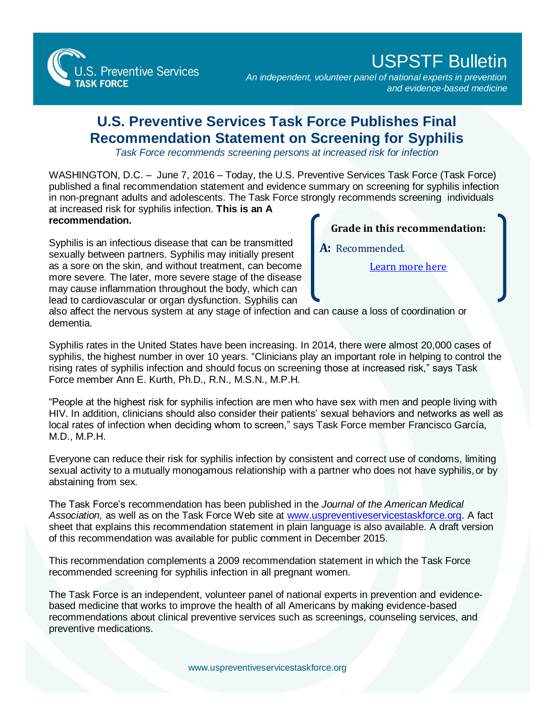

## USPSTF Bulletin

*An independent, volunteer panel of national experts in prevention and evidence-based medicine*

## **U.S. Preventive Services Task Force Publishes Final Recommendation Statement on Screening for Syphilis**

*Task Force recommends screening persons at increased risk for infection*

WASHINGTON, D.C. – June 7, 2016 – Today, the U.S. Preventive Services Task Force (Task Force) published a final recommendation statement and evidence summary on screening for syphilis infection in non-pregnant adults and adolescents. The Task Force strongly recommends screening individuals at increased risk for syphilis infection. **This is an A** 

**recommendation.**

Syphilis is an infectious disease that can be transmitted sexually between partners. Syphilis may initially present as a sore on the skin, and without treatment, can become more severe. The later, more severe stage of the disease may cause inflammation throughout the body, which can lead to cardiovascular or organ dysfunction. Syphilis can

**Grade in this recommendation:**

**A:** Recommended.

[Learn more here](http://www.uspreventiveservicestaskforce.org/Page/Name/grade-definitions)

also affect the nervous system at any stage of infection and can cause a loss of coordination or dementia.

Syphilis rates in the United States have been increasing. In 2014, there were almost 20,000 cases of syphilis, the highest number in over 10 years. "Clinicians play an important role in helping to control the rising rates of syphilis infection and should focus on screening those at increased risk," says Task Force member Ann E. Kurth, Ph.D., R.N., M.S.N., M.P.H.

"People at the highest risk for syphilis infection are men who have sex with men and people living with HIV. In addition, clinicians should also consider their patients' sexual behaviors and networks as well as local rates of infection when deciding whom to screen," says Task Force member Francisco García, M.D., M.P.H.

Everyone can reduce their risk for syphilis infection by consistent and correct use of condoms, limiting sexual activity to a mutually monogamous relationship with a partner who does not have syphilis, or by abstaining from sex.

The Task Force's recommendation has been published in the *Journal of the American Medical Association,* as well as on the Task Force Web site at [www.uspreventiveservicestaskforce.org.](http://www.uspreventiveservicestaskforce.org/) A fact sheet that explains this recommendation statement in plain language is also available. A draft version of this recommendation was available for public comment in December 2015.

This recommendation complements a 2009 recommendation statement in which the Task Force recommended screening for syphilis infection in all pregnant women.

The Task Force is an independent, volunteer panel of national experts in prevention and evidencebased medicine that works to improve the health of all Americans by making evidence-based recommendations about clinical preventive services such as screenings, counseling services, and preventive medications.

[www.uspreventiveservicestaskforce.org](http://www.uspreventiveservicestaskforce.org/)